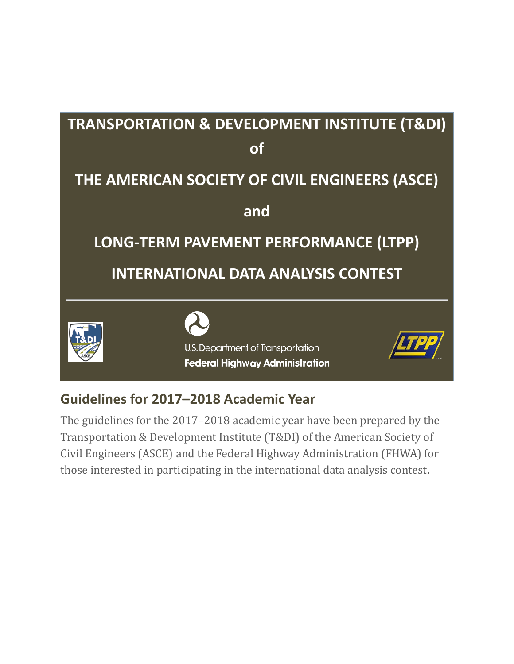

# **Guidelines for 2017–2018 Academic Year**

The guidelines for the 2017–2018 academic year have been prepared by the Transportation & Development Institute (T&DI) of the American Society of Civil Engineers (ASCE) and the Federal Highway Administration (FHWA) for those interested in participating in the international data analysis contest.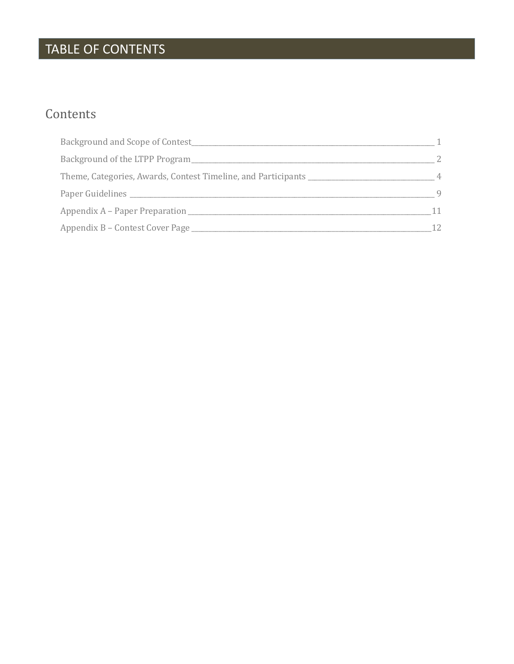# TABLE OF CONTENTS

# Contents

| Background of the LTPP Program                                                    |    |
|-----------------------------------------------------------------------------------|----|
| Theme, Categories, Awards, Contest Timeline, and Participants ___________________ |    |
|                                                                                   | 9  |
| Appendix A – Paper Preparation                                                    |    |
| Appendix B - Contest Cover Page                                                   | 12 |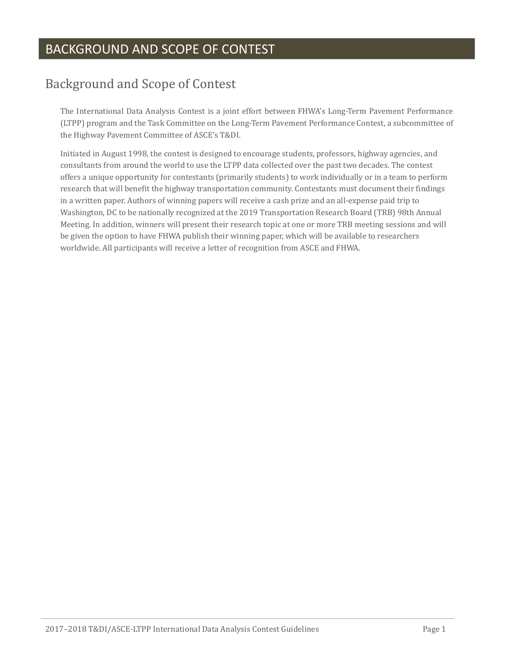## BACKGROUND AND SCOPE OF CONTEST

# <span id="page-2-0"></span>Background and Scope of Contest

The International Data Analysis Contest is a joint effort between FHWA's Long-Term Pavement Performance (LTPP) program and the Task Committee on the Long-Term Pavement Performance Contest, a subcommittee of the Highway Pavement Committee of ASCE's T&DI.

Initiated in August 1998, the contest is designed to encourage students, professors, highway agencies, and consultants from around the world to use the LTPP data collected over the past two decades. The contest offers a unique opportunity for contestants (primarily students) to work individually or in a team to perform research that will benefit the highway transportation community. Contestants must document their findings in a written paper. Authors of winning papers will receive a cash prize and an all-expense paid trip to Washington, DC to be nationally recognized at the 2019 Transportation Research Board (TRB) 98th Annual Meeting. In addition, winners will present their research topic at one or more TRB meeting sessions and will be given the option to have FHWA publish their winning paper, which will be available to researchers worldwide. All participants will receive a letter of recognition from ASCE and FHWA.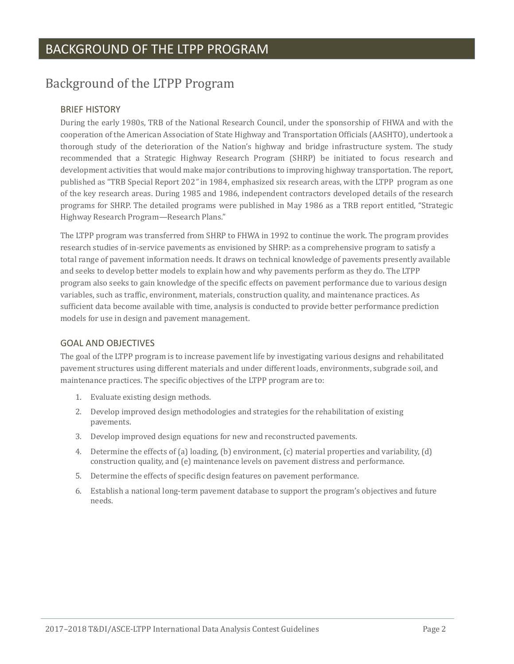# <span id="page-3-0"></span>Background of the LTPP Program

### BRIEF HISTORY

During the early 1980s, TRB of the National Research Council, under the sponsorship of FHWA and with the cooperation of the American Association of State Highway and Transportation Officials (AASHTO), undertook a thorough study of the deterioration of the Nation's highway and bridge infrastructure system. The study recommended that a Strategic Highway Research Program (SHRP) be initiated to focus research and development activities that would make major contributions to improving highway transportation. The report, published as "TRB Special Report 202*"* in 1984, emphasized six research areas, with the LTPP program as one of the key research areas. During 1985 and 1986, independent contractors developed details of the research programs for SHRP. The detailed programs were published in May 1986 as a TRB report entitled, "Strategic Highway Research Program—Research Plans."

The LTPP program was transferred from SHRP to FHWA in 1992 to continue the work. The program provides research studies of in-service pavements as envisioned by SHRP: as a comprehensive program to satisfy a total range of pavement information needs. It draws on technical knowledge of pavements presently available and seeks to develop better models to explain how and why pavements perform as they do. The LTPP program also seeks to gain knowledge of the specific effects on pavement performance due to various design variables, such as traffic, environment, materials, construction quality, and maintenance practices. As sufficient data become available with time, analysis is conducted to provide better performance prediction models for use in design and pavement management.

### GOAL AND OBJECTIVES

The goal of the LTPP program is to increase pavement life by investigating various designs and rehabilitated pavement structures using different materials and under different loads, environments, subgrade soil, and maintenance practices. The specific objectives of the LTPP program are to:

- 1. Evaluate existing design methods.
- 2. Develop improved design methodologies and strategies for the rehabilitation of existing pavements.
- 3. Develop improved design equations for new and reconstructed pavements.
- 4. Determine the effects of (a) loading, (b) environment, (c) material properties and variability, (d) construction quality, and (e) maintenance levels on pavement distress and performance.
- 5. Determine the effects of specific design features on pavement performance.
- 6. Establish a national long-term pavement database to support the program's objectives and future needs.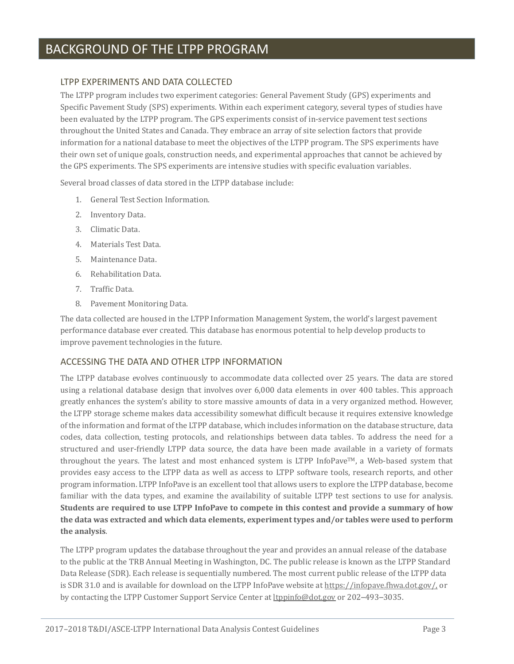### BACKGROUND OF THE LTPP PROGRAM

#### LTPP EXPERIMENTS AND DATA COLLECTED

The LTPP program includes two experiment categories: General Pavement Study (GPS) experiments and Specific Pavement Study (SPS) experiments. Within each experiment category, several types of studies have been evaluated by the LTPP program. The GPS experiments consist of in-service pavement test sections throughout the United States and Canada. They embrace an array of site selection factors that provide information for a national database to meet the objectives of the LTPP program. The SPS experiments have their own set of unique goals, construction needs, and experimental approaches that cannot be achieved by the GPS experiments. The SPS experiments are intensive studies with specific evaluation variables.

Several broad classes of data stored in the LTPP database include:

- 1. General Test Section Information.
- 2. Inventory Data.
- 3. Climatic Data.
- 4. Materials Test Data.
- 5. Maintenance Data.
- 6. Rehabilitation Data.
- 7. Traffic Data.
- 8. Pavement Monitoring Data.

The data collected are housed in the LTPP Information Management System, the world's largest pavement performance database ever created. This database has enormous potential to help develop products to improve pavement technologies in the future.

### ACCESSING THE DATA AND OTHER LTPP INFORMATION

The LTPP database evolves continuously to accommodate data collected over 25 years. The data are stored using a relational database design that involves over 6,000 data elements in over 400 tables. This approach greatly enhances the system's ability to store massive amounts of data in a very organized method. However, the LTPP storage scheme makes data accessibility somewhat difficult because it requires extensive knowledge of the information and format of the LTPP database, which includes information on the database structure, data codes, data collection, testing protocols, and relationships between data tables. To address the need for a structured and user-friendly LTPP data source, the data have been made available in a variety of formats throughout the years. The latest and most enhanced system is LTPP InfoPave™, a Web-based system that provides easy access to the LTPP data as well as access to LTPP software tools, research reports, and other program information. LTPP InfoPave is an excellent tool that allows users to explore the LTPP database, become familiar with the data types, and examine the availability of suitable LTPP test sections to use for analysis. **Students are required to use LTPP InfoPave to compete in this contest and provide a summary of how the data was extracted and which data elements, experiment types and/or tables were used to perform the analysis**.

The LTPP program updates the database throughout the year and provides an annual release of the database to the public at the TRB Annual Meeting in Washington, DC. The public release is known as the LTPP Standard Data Release (SDR). Each release is sequentially numbered. The most current public release of the LTPP data is SDR 31.0 and is available for download on the LTPP InfoPave website at [https://infopave.fhwa.dot.gov/,](https://infopave.fhwa.dot.gov/) or by contacting the LTPP Customer Support Service Center a[t ltppinfo@dot.gov](mailto:ltppinfo@dot.gov) or 202–493–3035.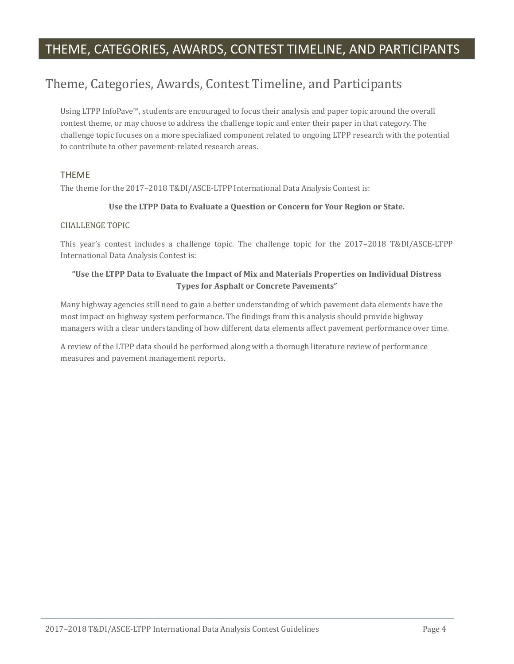## THEME, CATEGORIES, AWARDS, CONTEST TIMELINE, AND PARTICIPANTS

# <span id="page-5-0"></span>Theme, Categories, Awards, Contest Timeline, and Participants

Using LTPP InfoPave™, students are encouraged to focus their analysis and paper topic around the overall contest theme, or may choose to address the challenge topic and enter their paper in that category. The challenge topic focuses on a more specialized component related to ongoing LTPP research with the potential to contribute to other pavement-related research areas.

### THEME

The theme for the 2017–2018 T&DI/ASCE-LTPP International Data Analysis Contest is:

#### **Use the LTPP Data to Evaluate a Question or Concern for Your Region or State.**

#### CHALLENGE TOPIC

This year's contest includes a challenge topic. The challenge topic for the 2017–2018 T&DI/ASCE-LTPP International Data Analysis Contest is:

#### **"Use the LTPP Data to Evaluate the Impact of Mix and Materials Properties on Individual Distress Types for Asphalt or Concrete Pavements"**

Many highway agencies still need to gain a better understanding of which pavement data elements have the most impact on highway system performance. The findings from this analysis should provide highway managers with a clear understanding of how different data elements affect pavement performance over time.

A review of the LTPP data should be performed along with a thorough literature review of performance measures and pavement management reports.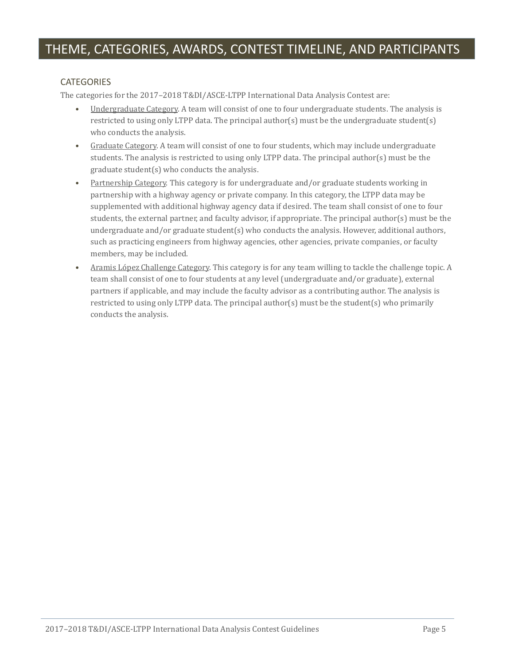### **CATEGORIES**

The categories for the 2017–2018 T&DI/ASCE-LTPP International Data Analysis Contest are:

- Undergraduate Category. A team will consist of one to four undergraduate students. The analysis is restricted to using only LTPP data. The principal author(s) must be the undergraduate student(s) who conducts the analysis.
- Graduate Category. A team will consist of one to four students, which may include undergraduate students. The analysis is restricted to using only LTPP data. The principal author(s) must be the graduate student(s) who conducts the analysis.
- Partnership Category. This category is for undergraduate and/or graduate students working in partnership with a highway agency or private company. In this category, the LTPP data may be supplemented with additional highway agency data if desired. The team shall consist of one to four students, the external partner, and faculty advisor, if appropriate. The principal author(s) must be the undergraduate and/or graduate student(s) who conducts the analysis. However, additional authors, such as practicing engineers from highway agencies, other agencies, private companies, or faculty members, may be included.
- Aramis Ló pez Challenge Category. This category is for any team willing to tackle the challenge topic. A team shall consist of one to four students at any level (undergraduate and/or graduate), external partners if applicable, and may include the faculty advisor as a contributing author. The analysis is restricted to using only LTPP data. The principal author(s) must be the student(s) who primarily conducts the analysis.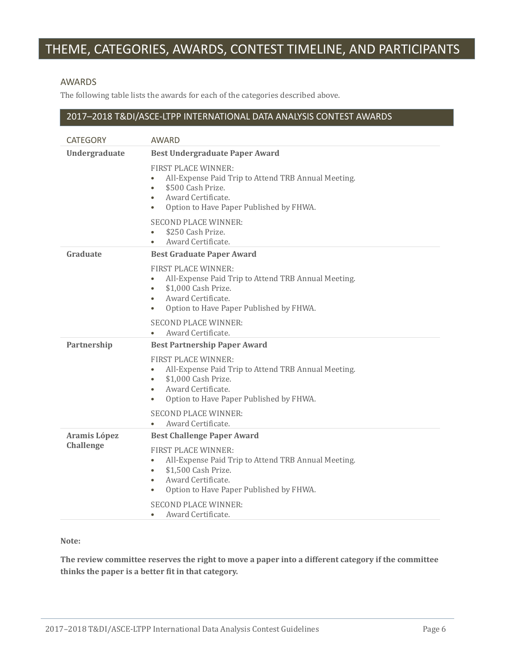# THEME, CATEGORIES, AWARDS, CONTEST TIMELINE, AND PARTICIPANTS

#### AWARDS

The following table lists the awards for each of the categories described above.

### 2017–2018 T&DI/ASCE-LTPP INTERNATIONAL DATA ANALYSIS CONTEST AWARDS

| <b>CATEGORY</b>                  | AWARD                                                                                                                                                                                                                         |
|----------------------------------|-------------------------------------------------------------------------------------------------------------------------------------------------------------------------------------------------------------------------------|
| Undergraduate                    | <b>Best Undergraduate Paper Award</b>                                                                                                                                                                                         |
|                                  | <b>FIRST PLACE WINNER:</b><br>All-Expense Paid Trip to Attend TRB Annual Meeting.<br>\$500 Cash Prize.<br>$\bullet$<br>Award Certificate.<br>$\bullet$<br>Option to Have Paper Published by FHWA.<br>$\bullet$                |
|                                  | <b>SECOND PLACE WINNER:</b><br>\$250 Cash Prize.<br>$\bullet$<br>Award Certificate.                                                                                                                                           |
| Graduate                         | <b>Best Graduate Paper Award</b>                                                                                                                                                                                              |
|                                  | <b>FIRST PLACE WINNER:</b><br>All-Expense Paid Trip to Attend TRB Annual Meeting.<br>$\bullet$<br>\$1,000 Cash Prize.<br>$\bullet$<br>Award Certificate.<br>$\bullet$<br>Option to Have Paper Published by FHWA.<br>$\bullet$ |
|                                  | <b>SECOND PLACE WINNER:</b><br>Award Certificate.<br>$\bullet$                                                                                                                                                                |
| Partnership                      | <b>Best Partnership Paper Award</b>                                                                                                                                                                                           |
|                                  | <b>FIRST PLACE WINNER:</b><br>All-Expense Paid Trip to Attend TRB Annual Meeting.<br>$\bullet$<br>\$1,000 Cash Prize.<br>٠<br>Award Certificate.<br>$\bullet$<br>Option to Have Paper Published by FHWA.<br>$\bullet$         |
|                                  | <b>SECOND PLACE WINNER:</b><br>Award Certificate.                                                                                                                                                                             |
| Aramis López<br><b>Challenge</b> | <b>Best Challenge Paper Award</b>                                                                                                                                                                                             |
|                                  | <b>FIRST PLACE WINNER:</b><br>All-Expense Paid Trip to Attend TRB Annual Meeting.<br>$\bullet$<br>\$1,500 Cash Prize.<br>$\bullet$<br>Award Certificate.<br>$\bullet$<br>Option to Have Paper Published by FHWA.<br>$\bullet$ |
|                                  | <b>SECOND PLACE WINNER:</b><br>Award Certificate.<br>$\bullet$                                                                                                                                                                |

#### **Note:**

**The review committee reserves the right to move a paper into a different category if the committee thinks the paper is a better fit in that category.**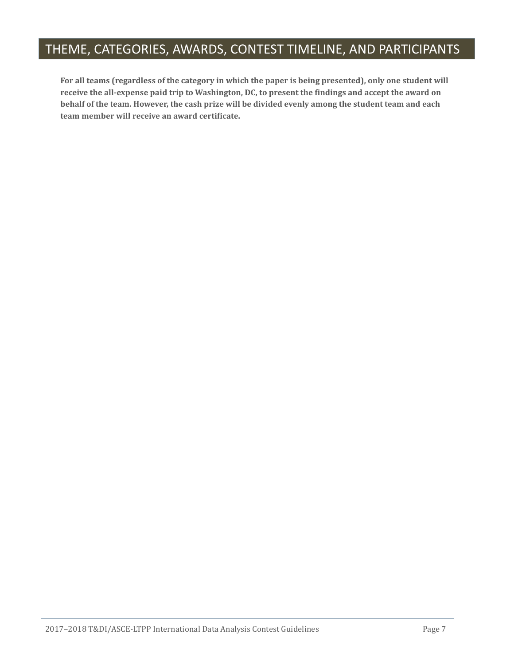# THEME, CATEGORIES, AWARDS, CONTEST TIMELINE, AND PARTICIPANTS

**For all teams (regardless of the category in which the paper is being presented), only one student will receive the all-expense paid trip to Washington, DC, to present the findings and accept the award on behalf of the team. However, the cash prize will be divided evenly among the student team and each team member will receive an award certificate.**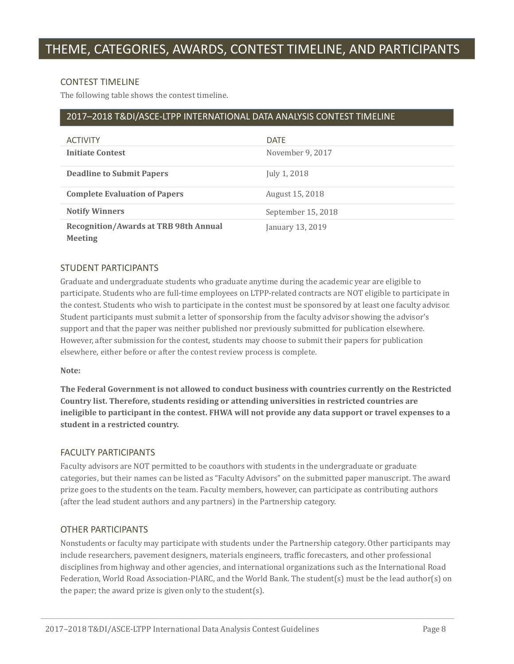#### CONTEST TIMELINE

The following table shows the contest timeline.

### 2017–2018 T&DI/ASCE-LTPP INTERNATIONAL DATA ANALYSIS CONTEST TIMELINE

| <b>ACTIVITY</b>                                                | <b>DATE</b>        |
|----------------------------------------------------------------|--------------------|
| <b>Initiate Contest</b>                                        | November 9, 2017   |
| <b>Deadline to Submit Papers</b>                               | July 1, 2018       |
| <b>Complete Evaluation of Papers</b>                           | August 15, 2018    |
| <b>Notify Winners</b>                                          | September 15, 2018 |
| <b>Recognition/Awards at TRB 98th Annual</b><br><b>Meeting</b> | January 13, 2019   |

#### STUDENT PARTICIPANTS

Graduate and undergraduate students who graduate anytime during the academic year are eligible to participate. Students who are full-time employees on LTPP-related contracts are NOT eligible to participate in the contest. Students who wish to participate in the contest must be sponsored by at least one faculty advisor. Student participants must submit a letter of sponsorship from the faculty advisor showing the advisor's support and that the paper was neither published nor previously submitted for publication elsewhere. However, after submission for the contest, students may choose to submit their papers for publication elsewhere, either before or after the contest review process is complete.

#### **Note:**

**The Federal Government is not allowed to conduct business with countries currently on the Restricted Country list. Therefore, students residing or attending universities in restricted countries are ineligible to participant in the contest. FHWA will not provide any data support or travel expenses to a student in a restricted country.**

#### FACULTY PARTICIPANTS

Faculty advisors are NOT permitted to be coauthors with students in the undergraduate or graduate categories, but their names can be listed as "Faculty Advisors" on the submitted paper manuscript. The award prize goes to the students on the team. Faculty members, however, can participate as contributing authors (after the lead student authors and any partners) in the Partnership category.

### OTHER PARTICIPANTS

Nonstudents or faculty may participate with students under the Partnership category. Other participants may include researchers, pavement designers, materials engineers, traffic forecasters, and other professional disciplines from highway and other agencies, and international organizations such as the International Road Federation, World Road Association-PIARC, and the World Bank. The student(s) must be the lead author(s) on the paper; the award prize is given only to the student(s).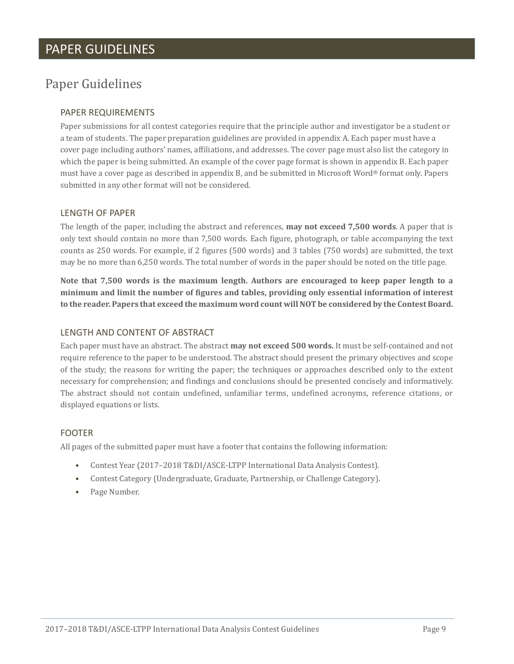### PAPER GUIDELINES

## <span id="page-10-0"></span>Paper Guidelines

### PAPER REQUIREMENTS

Paper submissions for all contest categories require that the principle author and investigator be a student or a team of students. The paper preparation guidelines are provided in appendix A. Each paper must have a cover page including authors' names, affiliations, and addresses. The cover page must also list the category in which the paper is being submitted. An example of the cover page format is shown in appendix B. Each paper must have a cover page as described in appendix B, and be submitted in Microsoft Word® format only. Papers submitted in any other format will not be considered.

#### LENGTH OF PAPER

The length of the paper, including the abstract and references, **may not exceed 7,500 words**. A paper that is only text should contain no more than 7,500 words. Each figure, photograph, or table accompanying the text counts as 250 words. For example, if 2 figures (500 words) and 3 tables (750 words) are submitted, the text may be no more than 6,250 words. The total number of words in the paper should be noted on the title page.

**Note that 7,500 words is the maximum length. Authors are encouraged to keep paper length to a minimum and limit the number of figures and tables, providing only essential information of interest to the reader. Papers that exceed the maximum word count will NOT be considered by the Contest Board.**

#### LENGTH AND CONTENT OF ABSTRACT

Each paper must have an abstract. The abstract **may not exceed 500 words.** It must be self-contained and not require reference to the paper to be understood. The abstract should present the primary objectives and scope of the study; the reasons for writing the paper; the techniques or approaches described only to the extent necessary for comprehension; and findings and conclusions should be presented concisely and informatively. The abstract should not contain undefined, unfamiliar terms, undefined acronyms, reference citations, or displayed equations or lists.

#### FOOTER

All pages of the submitted paper must have a footer that contains the following information:

- Contest Year (2017–2018 T&DI/ASCE-LTPP International Data Analysis Contest).
- Contest Category (Undergraduate, Graduate, Partnership, or Challenge Category).
- Page Number.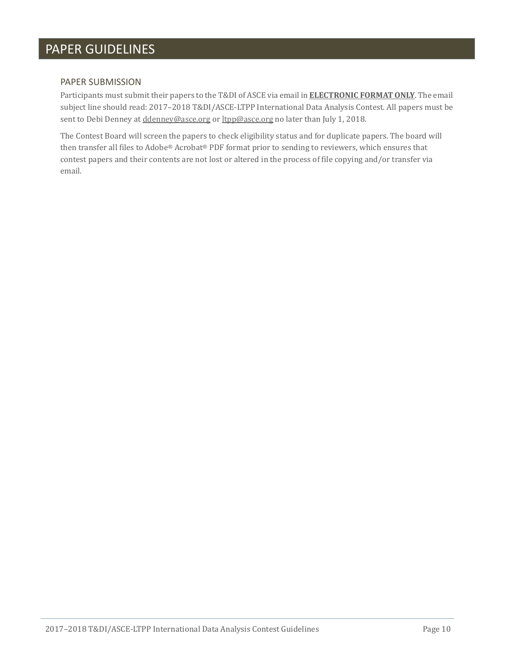# PAPER GUIDELINES

#### PAPER SUBMISSION

Participants must submit their papers to the T&DI of ASCE via email in **ELECTRONIC FORMAT ONLY**. The email subject line should read: 2017–2018 T&DI/ASCE-LTPP International Data Analysis Contest. All papers must be sent to Debi Denney at [ddenney@asce.org](mailto:abaker@asce.org) o[r ltpp@asce.org](mailto:ltpp@asce.org) no later than July 1, 2018.

The Contest Board will screen the papers to check eligibility status and for duplicate papers. The board will then transfer all files to Adobe® Acrobat® PDF format prior to sending to reviewers, which ensures that contest papers and their contents are not lost or altered in the process of file copying and/or transfer via email.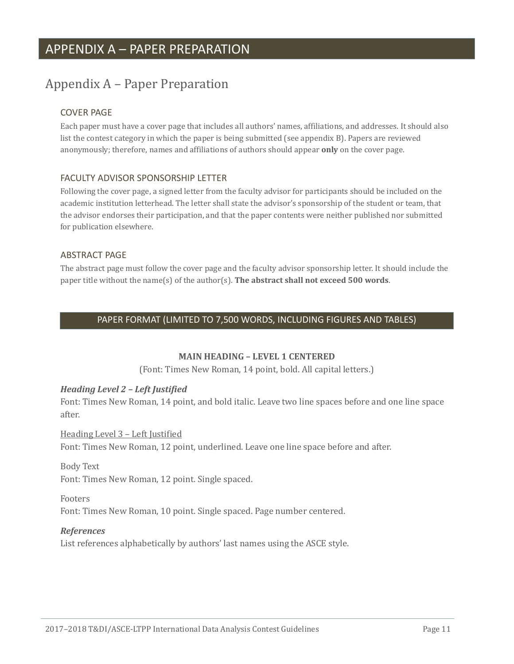# <span id="page-12-0"></span>Appendix A – Paper Preparation

### COVER PAGE

Each paper must have a cover page that includes all authors' names, affiliations, and addresses. It should also list the contest category in which the paper is being submitted (see appendix B). Papers are reviewed anonymously; therefore, names and affiliations of authors should appear **only** on the cover page.

### FACULTY ADVISOR SPONSORSHIP LETTER

Following the cover page, a signed letter from the faculty advisor for participants should be included on the academic institution letterhead. The letter shall state the advisor's sponsorship of the student or team, that the advisor endorses their participation, and that the paper contents were neither published nor submitted for publication elsewhere.

#### ABSTRACT PAGE

The abstract page must follow the cover page and the faculty advisor sponsorship letter. It should include the paper title without the name(s) of the author(s). **The abstract shall not exceed 500 words**.

### PAPER FORMAT (LIMITED TO 7,500 WORDS, INCLUDING FIGURES AND TABLES)

### **MAIN HEADING – LEVEL 1 CENTERED**

(Font: Times New Roman, 14 point, bold. All capital letters.)

### *Heading Level 2 – Left Justified*

Font: Times New Roman, 14 point, and bold italic. Leave two line spaces before and one line space after.

### Heading Level 3 – Left Justified Font: Times New Roman, 12 point, underlined. Leave one line space before and after.

### Body Text

Font: Times New Roman, 12 point. Single spaced.

### Footers

Font: Times New Roman, 10 point. Single spaced. Page number centered.

### *References*

List references alphabetically by authors' last names using the ASCE style.